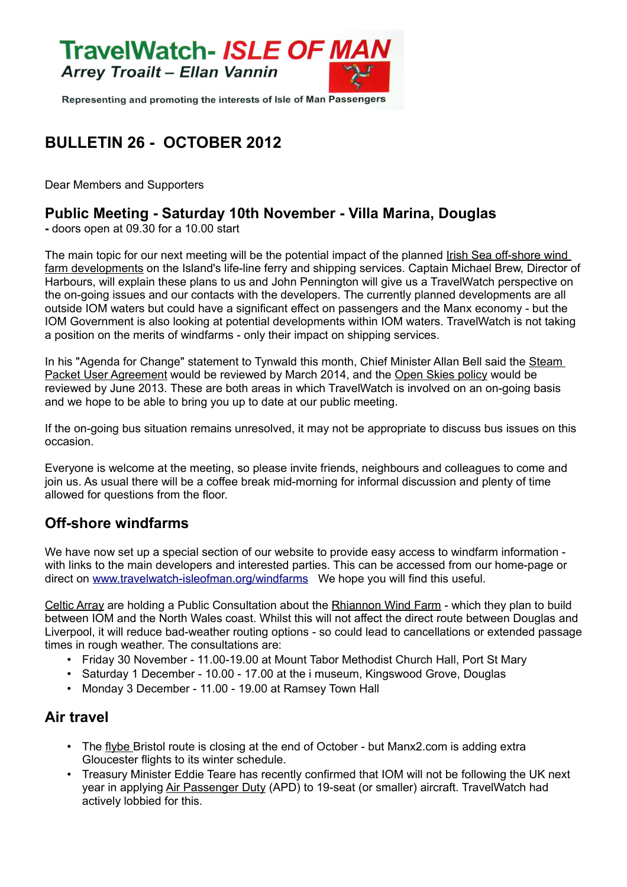

Representing and promoting the interests of Isle of Man Passengers

# **BULLETIN 26 - OCTOBER 2012**

Dear Members and Supporters

#### **Public Meeting - Saturday 10th November - Villa Marina, Douglas**

**-** doors open at 09.30 for a 10.00 start

The main topic for our next meeting will be the potential impact of the planned Irish Sea off-shore wind farm developments on the Island's life-line ferry and shipping services. Captain Michael Brew, Director of Harbours, will explain these plans to us and John Pennington will give us a TravelWatch perspective on the on-going issues and our contacts with the developers. The currently planned developments are all outside IOM waters but could have a significant effect on passengers and the Manx economy - but the IOM Government is also looking at potential developments within IOM waters. TravelWatch is not taking a position on the merits of windfarms - only their impact on shipping services.

In his "Agenda for Change" statement to Tynwald this month, Chief Minister Allan Bell said the Steam Packet User Agreement would be reviewed by March 2014, and the Open Skies policy would be reviewed by June 2013. These are both areas in which TravelWatch is involved on an on-going basis and we hope to be able to bring you up to date at our public meeting.

If the on-going bus situation remains unresolved, it may not be appropriate to discuss bus issues on this occasion.

Everyone is welcome at the meeting, so please invite friends, neighbours and colleagues to come and join us. As usual there will be a coffee break mid-morning for informal discussion and plenty of time allowed for questions from the floor.

#### **Off-shore windfarms**

We have now set up a special section of our website to provide easy access to windfarm information with links to the main developers and interested parties. This can be accessed from our home-page or direct on [www.travelwatch-isleofman.org/windfarms](http://www.travelwatch-isleofman.org/windfarms) We hope you will find this useful.

Celtic Array are holding a Public Consultation about the Rhiannon Wind Farm - which they plan to build between IOM and the North Wales coast. Whilst this will not affect the direct route between Douglas and Liverpool, it will reduce bad-weather routing options - so could lead to cancellations or extended passage times in rough weather. The consultations are:

- Friday 30 November 11.00-19.00 at Mount Tabor Methodist Church Hall, Port St Mary
- Saturday 1 December 10.00 17.00 at the i museum, Kingswood Grove, Douglas
- Monday 3 December 11.00 19.00 at Ramsey Town Hall

#### **Air travel**

- The flybe Bristol route is closing at the end of October but Manx2.com is adding extra Gloucester flights to its winter schedule.
- Treasury Minister Eddie Teare has recently confirmed that IOM will not be following the UK next year in applying Air Passenger Duty (APD) to 19-seat (or smaller) aircraft. TravelWatch had actively lobbied for this.